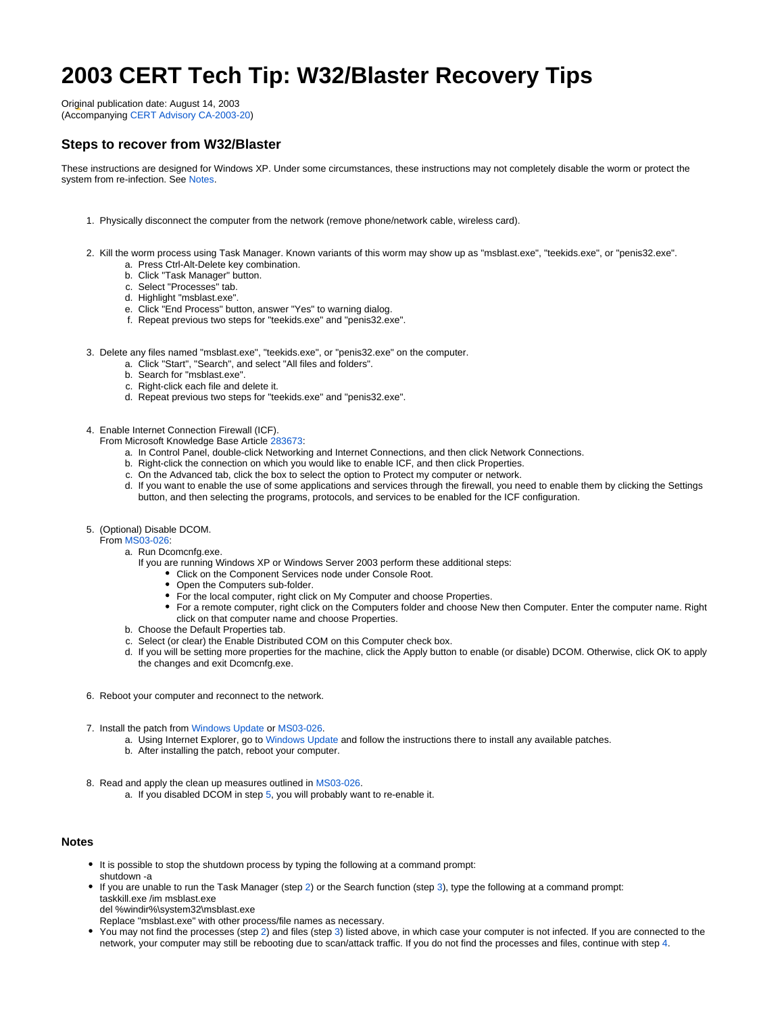# **2003 CERT Tech Tip: W32/Blaster Recovery Tips**

Original publication date: August 14, 2003 (Accompanying [CERT Advisory CA-2003-20\)](http://www.cert.org/advisories/CA-2003-20.html)

## **Steps to recover from W32/Blaster**

These instructions are designed for Windows XP. Under some circumstances, these instructions may not completely disable the worm or protect the system from re-infection. See [Notes](#page-0-0).

- 1. Physically disconnect the computer from the network (remove phone/network cable, wireless card).
- <span id="page-0-2"></span>2. Kill the worm process using Task Manager. Known variants of this worm may show up as "msblast.exe", "teekids.exe", or "penis32.exe". a. Press Ctrl-Alt-Delete key combination.
	- b. Click "Task Manager" button.
	- c. Select "Processes" tab.
	- d. Highlight "msblast.exe".
	- e. Click "End Process" button, answer "Yes" to warning dialog.
	- f. Repeat previous two steps for "teekids.exe" and "penis32.exe".
- <span id="page-0-3"></span>3. Delete any files named "msblast.exe", "teekids.exe", or "penis32.exe" on the computer.
	- a. Click "Start", "Search", and select "All files and folders".
	- b. Search for "msblast.exe".
	- c. Right-click each file and delete it.
	- d. Repeat previous two steps for "teekids.exe" and "penis32.exe".
- <span id="page-0-4"></span>4. Enable Internet Connection Firewall (ICF).
	- From Microsoft Knowledge Base Article [283673](http://support.microsoft.com/default.aspx?scid=kb;en-us;283673):
		- a. In Control Panel, double-click Networking and Internet Connections, and then click Network Connections.
		- b. Right-click the connection on which you would like to enable ICF, and then click Properties.
		- c. On the Advanced tab, click the box to select the option to Protect my computer or network.
		- d. If you want to enable the use of some applications and services through the firewall, you need to enable them by clicking the Settings button, and then selecting the programs, protocols, and services to be enabled for the ICF configuration.
- <span id="page-0-1"></span>5. (Optional) Disable DCOM.
	- From [MS03-026](http://microsoft.com/technet/security/bulletin/MS03-026.asp):
		- a. Run Dcomcnfg.exe.
			- If you are running Windows XP or Windows Server 2003 perform these additional steps:
				- Click on the Component Services node under Console Root.
				- Open the Computers sub-folder.
				- For the local computer, right click on My Computer and choose Properties.
				- For a remote computer, right click on the Computers folder and choose New then Computer. Enter the computer name. Right click on that computer name and choose Properties.
		- b. Choose the Default Properties tab.
		- c. Select (or clear) the Enable Distributed COM on this Computer check box.
		- d. If you will be setting more properties for the machine, click the Apply button to enable (or disable) DCOM. Otherwise, click OK to apply the changes and exit Dcomcnfg.exe.
- 6. Reboot your computer and reconnect to the network.
- 7. Install the patch from [Windows Update](http://windowsupdate.microsoft.com/) or [MS03-026.](http://microsoft.com/technet/security/bulletin/MS03-026.asp)
	- a. Using Internet Explorer, go to [Windows Update](http://windowsupdate.microsoft.com/) and follow the instructions there to install any available patches.
	- b. After installing the patch, reboot your computer.
- 8. Read and apply the clean up measures outlined in [MS03-026](http://microsoft.com/technet/security/bulletin/MS03-026.asp).
	- a. If you disabled DCOM in step [5,](#page-0-1) you will probably want to re-enable it.

#### <span id="page-0-0"></span>**Notes**

- It is possible to stop the shutdown process by typing the following at a command prompt: shutdown -a
	-
- If you are unable to run the Task Manager (step [2\)](#page-0-2) or the Search function (step [3\)](#page-0-3), type the following at a command prompt: taskkill.exe /im msblast.exe del %windir%\system32\msblast.exe
- 
- Replace "msblast.exe" with other process/file names as necessary.
- You may not find the processes (step [2](#page-0-2)) and files (step [3\)](#page-0-3) listed above, in which case your computer is not infected. If you are connected to the network, your computer may still be rebooting due to scan/attack traffic. If you do not find the processes and files, continue with step [4.](#page-0-4)